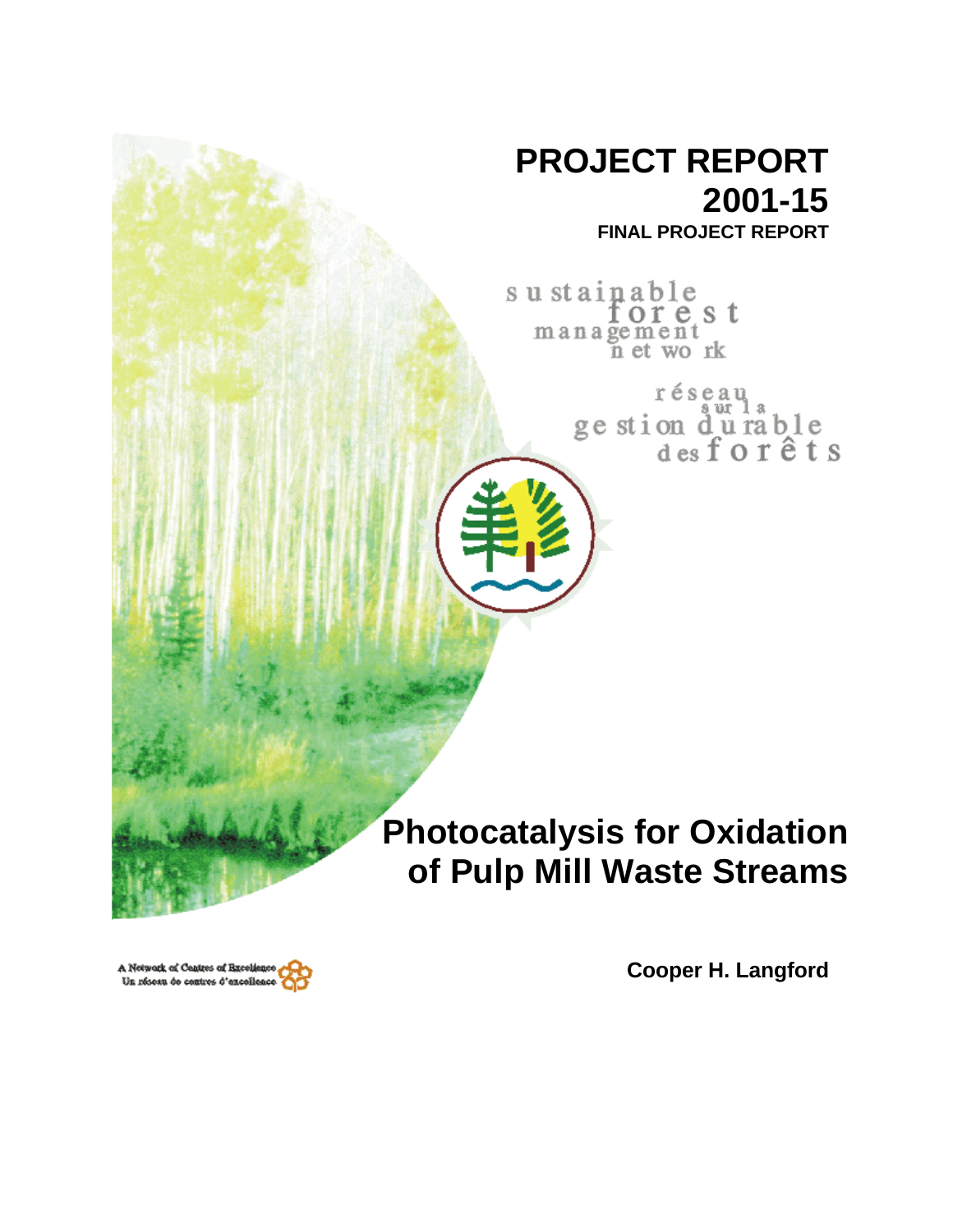

**FINAL PROJECT REPORT**

sustainable orest management<br>net work

> réseau ge stion durable<br>desforêts

# **Photocatalysis for Oxidation of Pulp Mill Waste Streams**

**Cooper H. Langford**

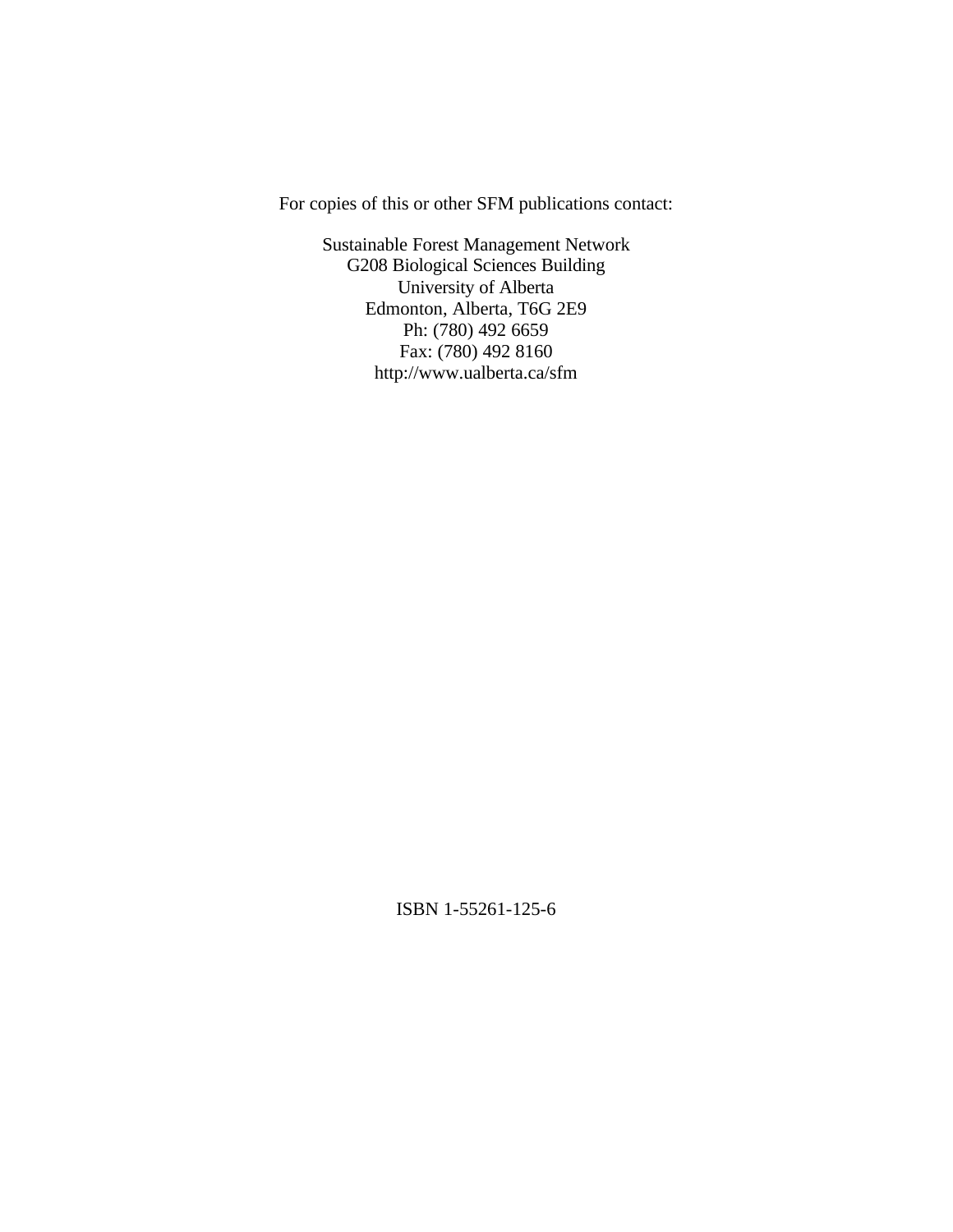For copies of this or other SFM publications contact:

Sustainable Forest Management Network G208 Biological Sciences Building University of Alberta Edmonton, Alberta, T6G 2E9 Ph: (780) 492 6659 Fax: (780) 492 8160 http://www.ualberta.ca/sfm

ISBN 1-55261-125-6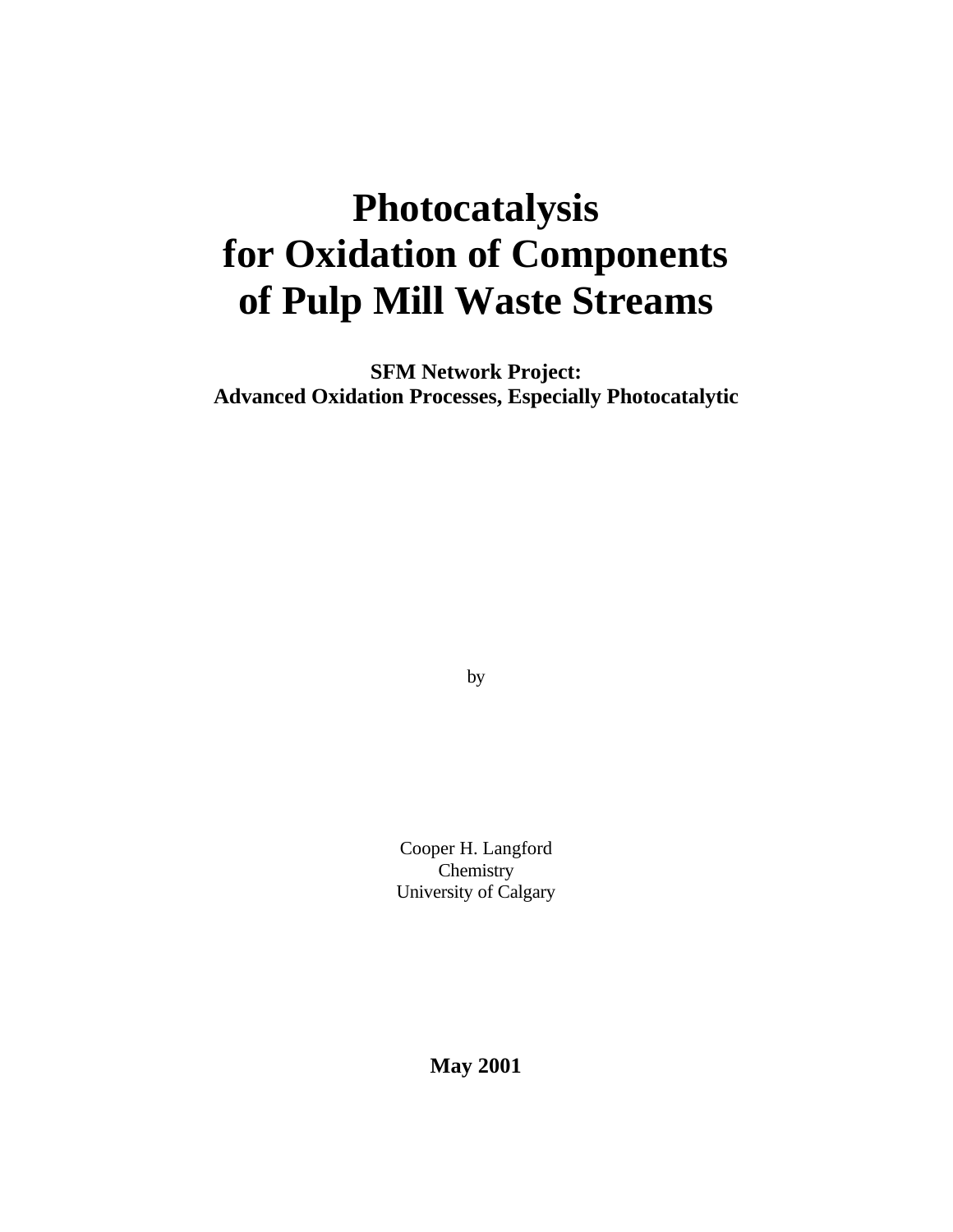# **Photocatalysis for Oxidation of Components of Pulp Mill Waste Streams**

**SFM Network Project: Advanced Oxidation Processes, Especially Photocatalytic**

by

Cooper H. Langford **Chemistry** University of Calgary

**May 2001**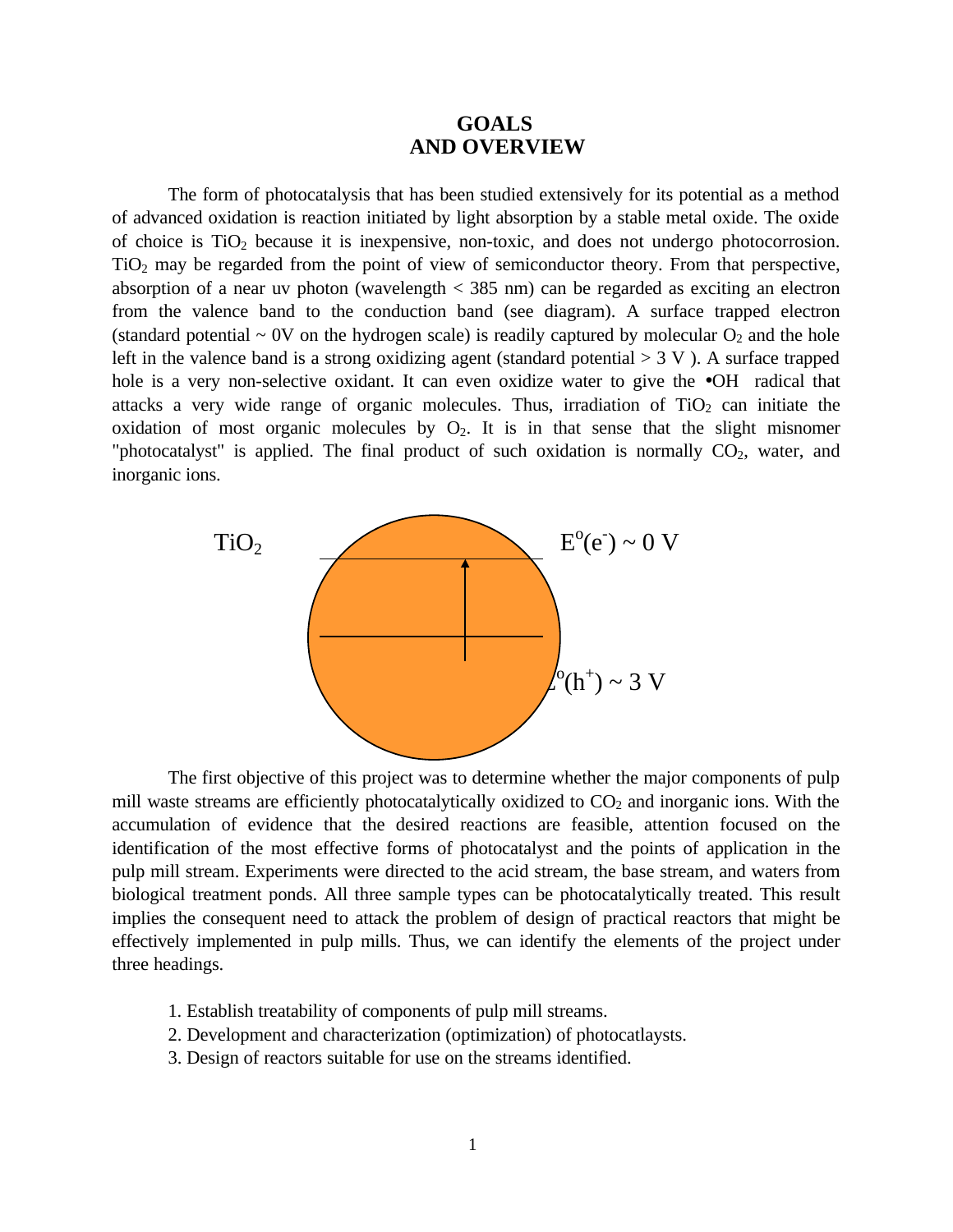# **GOALS AND OVERVIEW**

The form of photocatalysis that has been studied extensively for its potential as a method of advanced oxidation is reaction initiated by light absorption by a stable metal oxide. The oxide of choice is  $TiO<sub>2</sub>$  because it is inexpensive, non-toxic, and does not undergo photocorrosion. TiO2 may be regarded from the point of view of semiconductor theory. From that perspective, absorption of a near uv photon (wavelength < 385 nm) can be regarded as exciting an electron from the valence band to the conduction band (see diagram). A surface trapped electron (standard potential  $\sim$  0V on the hydrogen scale) is readily captured by molecular  $O_2$  and the hole left in the valence band is a strong oxidizing agent (standard potential  $> 3$  V). A surface trapped hole is a very non-selective oxidant. It can even oxidize water to give the •OH radical that attacks a very wide range of organic molecules. Thus, irradiation of  $TiO<sub>2</sub>$  can initiate the oxidation of most organic molecules by  $O_2$ . It is in that sense that the slight misnomer "photocatalyst" is applied. The final product of such oxidation is normally  $CO<sub>2</sub>$ , water, and inorganic ions.



The first objective of this project was to determine whether the major components of pulp mill waste streams are efficiently photocatalytically oxidized to  $CO<sub>2</sub>$  and inorganic ions. With the accumulation of evidence that the desired reactions are feasible, attention focused on the identification of the most effective forms of photocatalyst and the points of application in the pulp mill stream. Experiments were directed to the acid stream, the base stream, and waters from biological treatment ponds. All three sample types can be photocatalytically treated. This result implies the consequent need to attack the problem of design of practical reactors that might be effectively implemented in pulp mills. Thus, we can identify the elements of the project under three headings.

- 1. Establish treatability of components of pulp mill streams.
- 2. Development and characterization (optimization) of photocatlaysts.
- 3. Design of reactors suitable for use on the streams identified.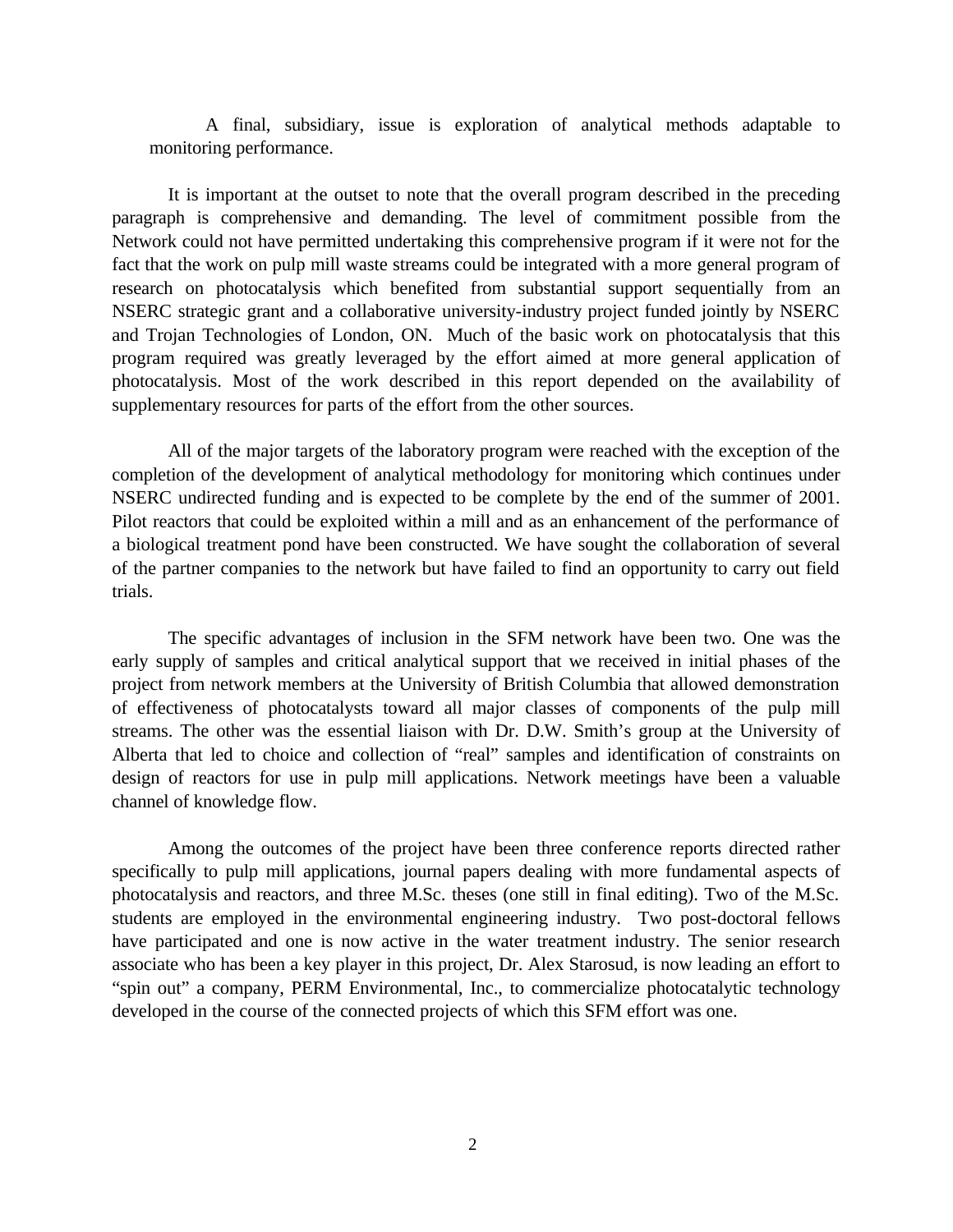A final, subsidiary, issue is exploration of analytical methods adaptable to monitoring performance.

It is important at the outset to note that the overall program described in the preceding paragraph is comprehensive and demanding. The level of commitment possible from the Network could not have permitted undertaking this comprehensive program if it were not for the fact that the work on pulp mill waste streams could be integrated with a more general program of research on photocatalysis which benefited from substantial support sequentially from an NSERC strategic grant and a collaborative university-industry project funded jointly by NSERC and Trojan Technologies of London, ON. Much of the basic work on photocatalysis that this program required was greatly leveraged by the effort aimed at more general application of photocatalysis. Most of the work described in this report depended on the availability of supplementary resources for parts of the effort from the other sources.

All of the major targets of the laboratory program were reached with the exception of the completion of the development of analytical methodology for monitoring which continues under NSERC undirected funding and is expected to be complete by the end of the summer of 2001. Pilot reactors that could be exploited within a mill and as an enhancement of the performance of a biological treatment pond have been constructed. We have sought the collaboration of several of the partner companies to the network but have failed to find an opportunity to carry out field trials.

The specific advantages of inclusion in the SFM network have been two. One was the early supply of samples and critical analytical support that we received in initial phases of the project from network members at the University of British Columbia that allowed demonstration of effectiveness of photocatalysts toward all major classes of components of the pulp mill streams. The other was the essential liaison with Dr. D.W. Smith's group at the University of Alberta that led to choice and collection of "real" samples and identification of constraints on design of reactors for use in pulp mill applications. Network meetings have been a valuable channel of knowledge flow.

Among the outcomes of the project have been three conference reports directed rather specifically to pulp mill applications, journal papers dealing with more fundamental aspects of photocatalysis and reactors, and three M.Sc. theses (one still in final editing). Two of the M.Sc. students are employed in the environmental engineering industry. Two post-doctoral fellows have participated and one is now active in the water treatment industry. The senior research associate who has been a key player in this project, Dr. Alex Starosud, is now leading an effort to "spin out" a company, PERM Environmental, Inc., to commercialize photocatalytic technology developed in the course of the connected projects of which this SFM effort was one.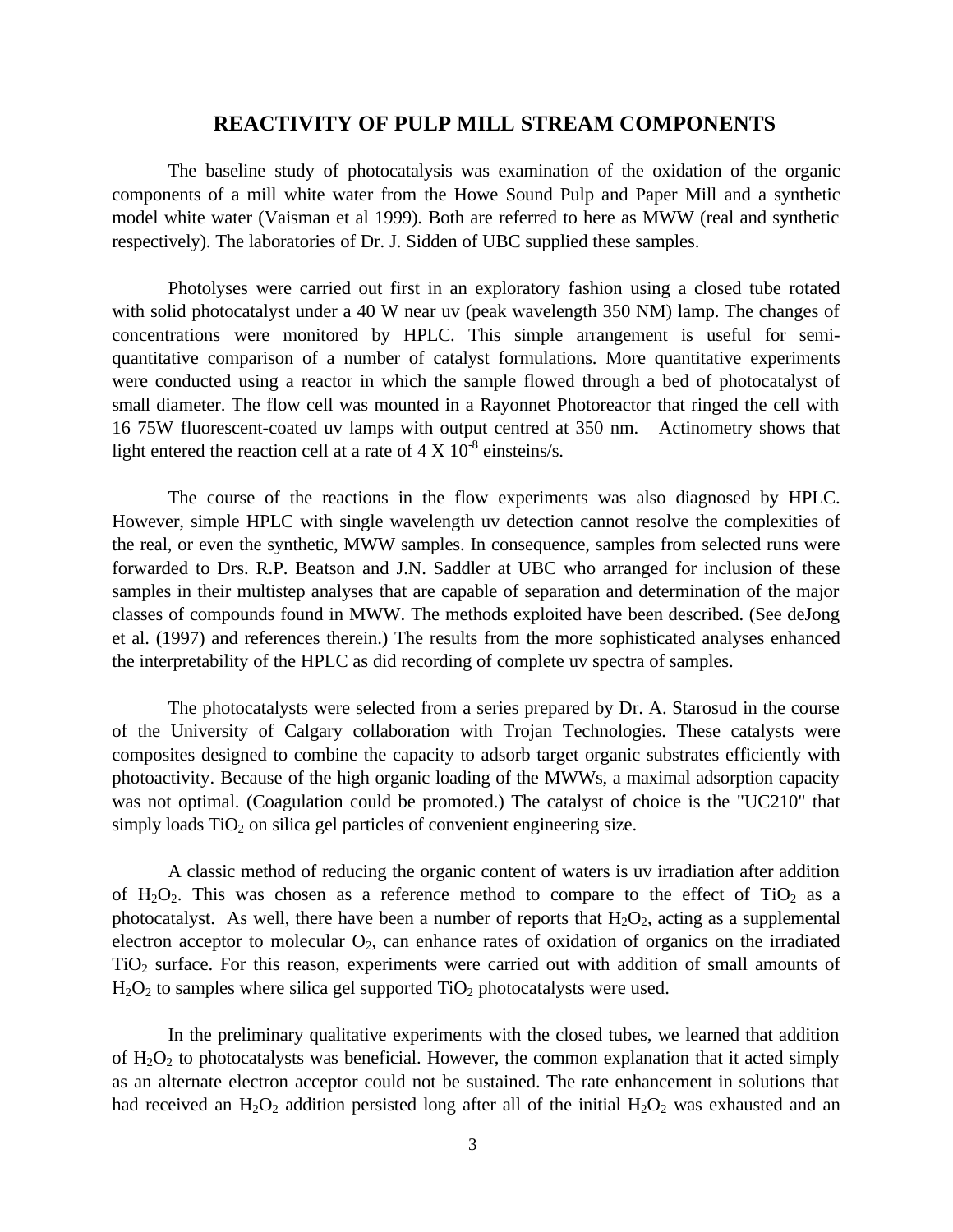#### **REACTIVITY OF PULP MILL STREAM COMPONENTS**

The baseline study of photocatalysis was examination of the oxidation of the organic components of a mill white water from the Howe Sound Pulp and Paper Mill and a synthetic model white water (Vaisman et al 1999). Both are referred to here as MWW (real and synthetic respectively). The laboratories of Dr. J. Sidden of UBC supplied these samples.

Photolyses were carried out first in an exploratory fashion using a closed tube rotated with solid photocatalyst under a 40 W near uv (peak wavelength 350 NM) lamp. The changes of concentrations were monitored by HPLC. This simple arrangement is useful for semiquantitative comparison of a number of catalyst formulations. More quantitative experiments were conducted using a reactor in which the sample flowed through a bed of photocatalyst of small diameter. The flow cell was mounted in a Rayonnet Photoreactor that ringed the cell with 16 75W fluorescent-coated uv lamps with output centred at 350 nm. Actinometry shows that light entered the reaction cell at a rate of  $4 \times 10^{-8}$  einsteins/s.

The course of the reactions in the flow experiments was also diagnosed by HPLC. However, simple HPLC with single wavelength uv detection cannot resolve the complexities of the real, or even the synthetic, MWW samples. In consequence, samples from selected runs were forwarded to Drs. R.P. Beatson and J.N. Saddler at UBC who arranged for inclusion of these samples in their multistep analyses that are capable of separation and determination of the major classes of compounds found in MWW. The methods exploited have been described. (See deJong et al. (1997) and references therein.) The results from the more sophisticated analyses enhanced the interpretability of the HPLC as did recording of complete uv spectra of samples.

The photocatalysts were selected from a series prepared by Dr. A. Starosud in the course of the University of Calgary collaboration with Trojan Technologies. These catalysts were composites designed to combine the capacity to adsorb target organic substrates efficiently with photoactivity. Because of the high organic loading of the MWWs, a maximal adsorption capacity was not optimal. (Coagulation could be promoted.) The catalyst of choice is the "UC210" that simply loads  $TiO<sub>2</sub>$  on silica gel particles of convenient engineering size.

A classic method of reducing the organic content of waters is uv irradiation after addition of  $H_2O_2$ . This was chosen as a reference method to compare to the effect of TiO<sub>2</sub> as a photocatalyst. As well, there have been a number of reports that  $H_2O_2$ , acting as a supplemental electron acceptor to molecular  $O_2$ , can enhance rates of oxidation of organics on the irradiated TiO2 surface. For this reason, experiments were carried out with addition of small amounts of  $H<sub>2</sub>O<sub>2</sub>$  to samples where silica gel supported TiO<sub>2</sub> photocatalysts were used.

In the preliminary qualitative experiments with the closed tubes, we learned that addition of  $H_2O_2$  to photocatalysts was beneficial. However, the common explanation that it acted simply as an alternate electron acceptor could not be sustained. The rate enhancement in solutions that had received an  $H_2O_2$  addition persisted long after all of the initial  $H_2O_2$  was exhausted and an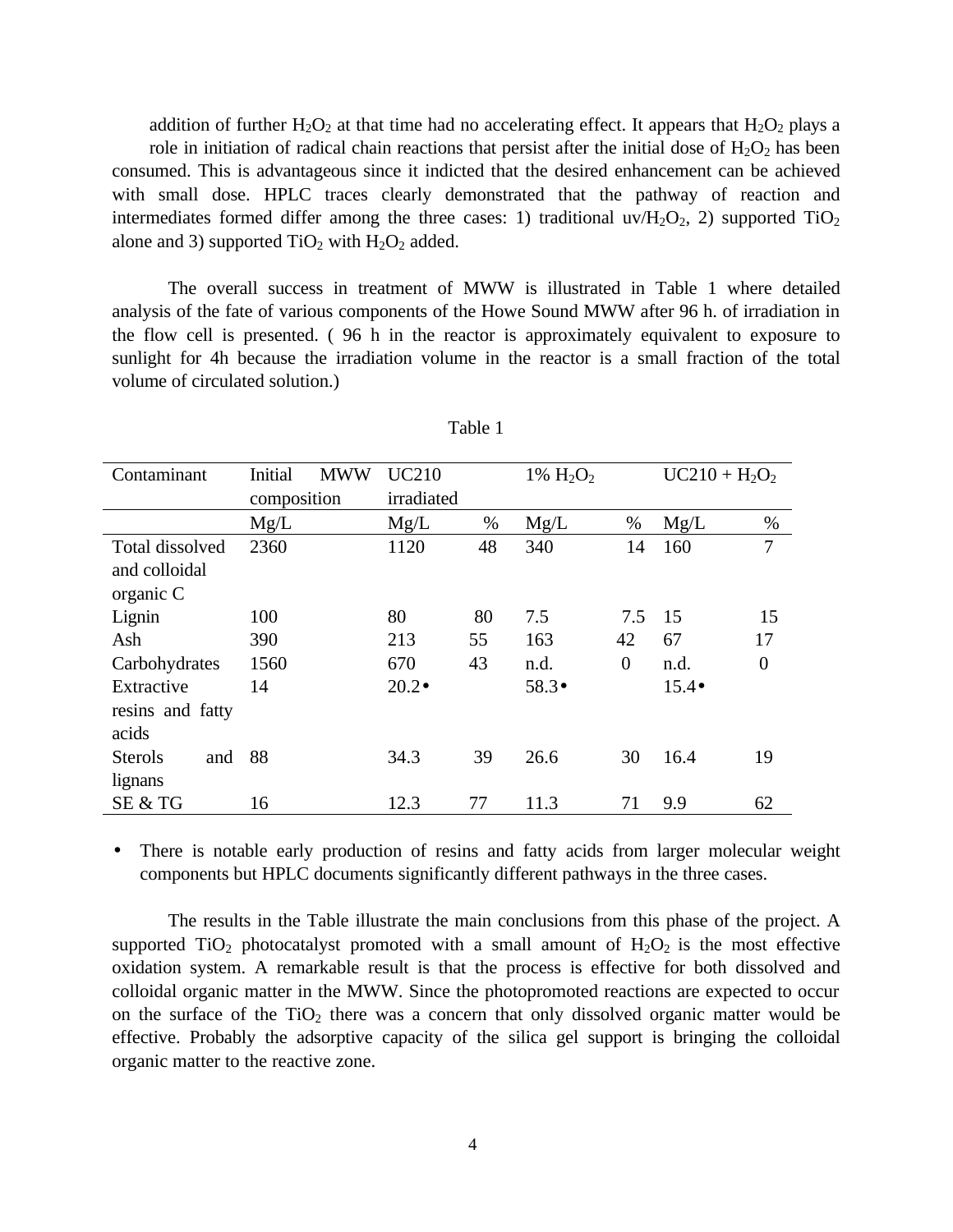addition of further  $H_2O_2$  at that time had no accelerating effect. It appears that  $H_2O_2$  plays a role in initiation of radical chain reactions that persist after the initial dose of  $H_2O_2$  has been consumed. This is advantageous since it indicted that the desired enhancement can be achieved with small dose. HPLC traces clearly demonstrated that the pathway of reaction and intermediates formed differ among the three cases: 1) traditional  $uv/H_2O_2$ , 2) supported  $TiO_2$ alone and 3) supported  $TiO<sub>2</sub>$  with  $H<sub>2</sub>O<sub>2</sub>$  added.

The overall success in treatment of MWW is illustrated in Table 1 where detailed analysis of the fate of various components of the Howe Sound MWW after 96 h. of irradiation in the flow cell is presented. ( 96 h in the reactor is approximately equivalent to exposure to sunlight for 4h because the irradiation volume in the reactor is a small fraction of the total volume of circulated solution.)

| Contaminant           | Initial<br><b>MWW</b> | <b>UC210</b>  |      | 1% $H_2O_2$   |                | $UC210 + H_2O_2$ |                |
|-----------------------|-----------------------|---------------|------|---------------|----------------|------------------|----------------|
|                       | composition           | irradiated    |      |               |                |                  |                |
|                       | Mg/L                  | Mg/L          | $\%$ | Mg/L          | $\%$           | Mg/L             | $\%$           |
| Total dissolved       | 2360                  | 1120          | 48   | 340           | 14             | 160              | $\tau$         |
| and colloidal         |                       |               |      |               |                |                  |                |
| organic C             |                       |               |      |               |                |                  |                |
| Lignin                | 100                   | 80            | 80   | 7.5           | 7.5            | 15               | 15             |
| Ash                   | 390                   | 213           | 55   | 163           | 42             | 67               | 17             |
| Carbohydrates         | 1560                  | 670           | 43   | n.d.          | $\overline{0}$ | n.d.             | $\overline{0}$ |
| Extractive            | 14                    | $20.2\bullet$ |      | $58.3\bullet$ |                | $15.4\bullet$    |                |
| resins and fatty      |                       |               |      |               |                |                  |                |
| acids                 |                       |               |      |               |                |                  |                |
| <b>Sterols</b><br>and | 88                    | 34.3          | 39   | 26.6          | 30             | 16.4             | 19             |
| lignans               |                       |               |      |               |                |                  |                |
| SE & TG               | 16                    | 12.3          | 77   | 11.3          | 71             | 9.9              | 62             |

Table 1

There is notable early production of resins and fatty acids from larger molecular weight components but HPLC documents significantly different pathways in the three cases.

The results in the Table illustrate the main conclusions from this phase of the project. A supported TiO<sub>2</sub> photocatalyst promoted with a small amount of  $H_2O_2$  is the most effective oxidation system. A remarkable result is that the process is effective for both dissolved and colloidal organic matter in the MWW. Since the photopromoted reactions are expected to occur on the surface of the  $TiO<sub>2</sub>$  there was a concern that only dissolved organic matter would be effective. Probably the adsorptive capacity of the silica gel support is bringing the colloidal organic matter to the reactive zone.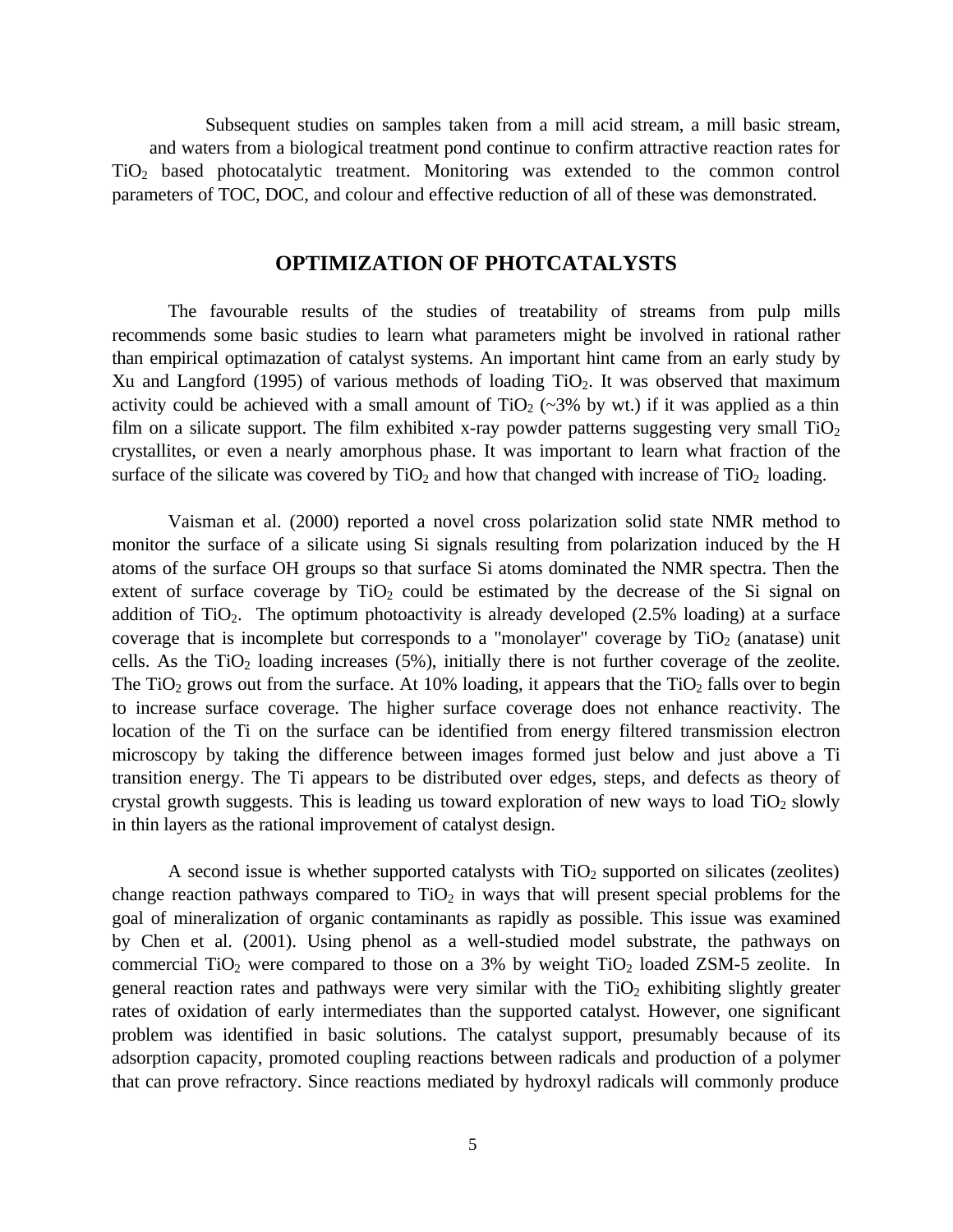Subsequent studies on samples taken from a mill acid stream, a mill basic stream, and waters from a biological treatment pond continue to confirm attractive reaction rates for TiO2 based photocatalytic treatment. Monitoring was extended to the common control parameters of TOC, DOC, and colour and effective reduction of all of these was demonstrated.

# **OPTIMIZATION OF PHOTCATALYSTS**

The favourable results of the studies of treatability of streams from pulp mills recommends some basic studies to learn what parameters might be involved in rational rather than empirical optimazation of catalyst systems. An important hint came from an early study by Xu and Langford (1995) of various methods of loading  $TiO<sub>2</sub>$ . It was observed that maximum activity could be achieved with a small amount of  $TiO<sub>2</sub>$  (~3% by wt.) if it was applied as a thin film on a silicate support. The film exhibited x-ray powder patterns suggesting very small  $TiO<sub>2</sub>$ crystallites, or even a nearly amorphous phase. It was important to learn what fraction of the surface of the silicate was covered by  $TiO<sub>2</sub>$  and how that changed with increase of  $TiO<sub>2</sub>$  loading.

Vaisman et al. (2000) reported a novel cross polarization solid state NMR method to monitor the surface of a silicate using Si signals resulting from polarization induced by the H atoms of the surface OH groups so that surface Si atoms dominated the NMR spectra. Then the extent of surface coverage by  $TiO<sub>2</sub>$  could be estimated by the decrease of the Si signal on addition of  $TiO<sub>2</sub>$ . The optimum photoactivity is already developed (2.5% loading) at a surface coverage that is incomplete but corresponds to a "monolayer" coverage by  $TiO<sub>2</sub>$  (anatase) unit cells. As the  $TiO<sub>2</sub>$  loading increases (5%), initially there is not further coverage of the zeolite. The TiO<sub>2</sub> grows out from the surface. At 10% loading, it appears that the TiO<sub>2</sub> falls over to begin to increase surface coverage. The higher surface coverage does not enhance reactivity. The location of the Ti on the surface can be identified from energy filtered transmission electron microscopy by taking the difference between images formed just below and just above a Ti transition energy. The Ti appears to be distributed over edges, steps, and defects as theory of crystal growth suggests. This is leading us toward exploration of new ways to load  $TiO<sub>2</sub>$  slowly in thin layers as the rational improvement of catalyst design.

A second issue is whether supported catalysts with  $TiO<sub>2</sub>$  supported on silicates (zeolites) change reaction pathways compared to  $TiO<sub>2</sub>$  in ways that will present special problems for the goal of mineralization of organic contaminants as rapidly as possible. This issue was examined by Chen et al. (2001). Using phenol as a well-studied model substrate, the pathways on commercial TiO<sub>2</sub> were compared to those on a 3% by weight TiO<sub>2</sub> loaded ZSM-5 zeolite. In general reaction rates and pathways were very similar with the  $TiO<sub>2</sub>$  exhibiting slightly greater rates of oxidation of early intermediates than the supported catalyst. However, one significant problem was identified in basic solutions. The catalyst support, presumably because of its adsorption capacity, promoted coupling reactions between radicals and production of a polymer that can prove refractory. Since reactions mediated by hydroxyl radicals will commonly produce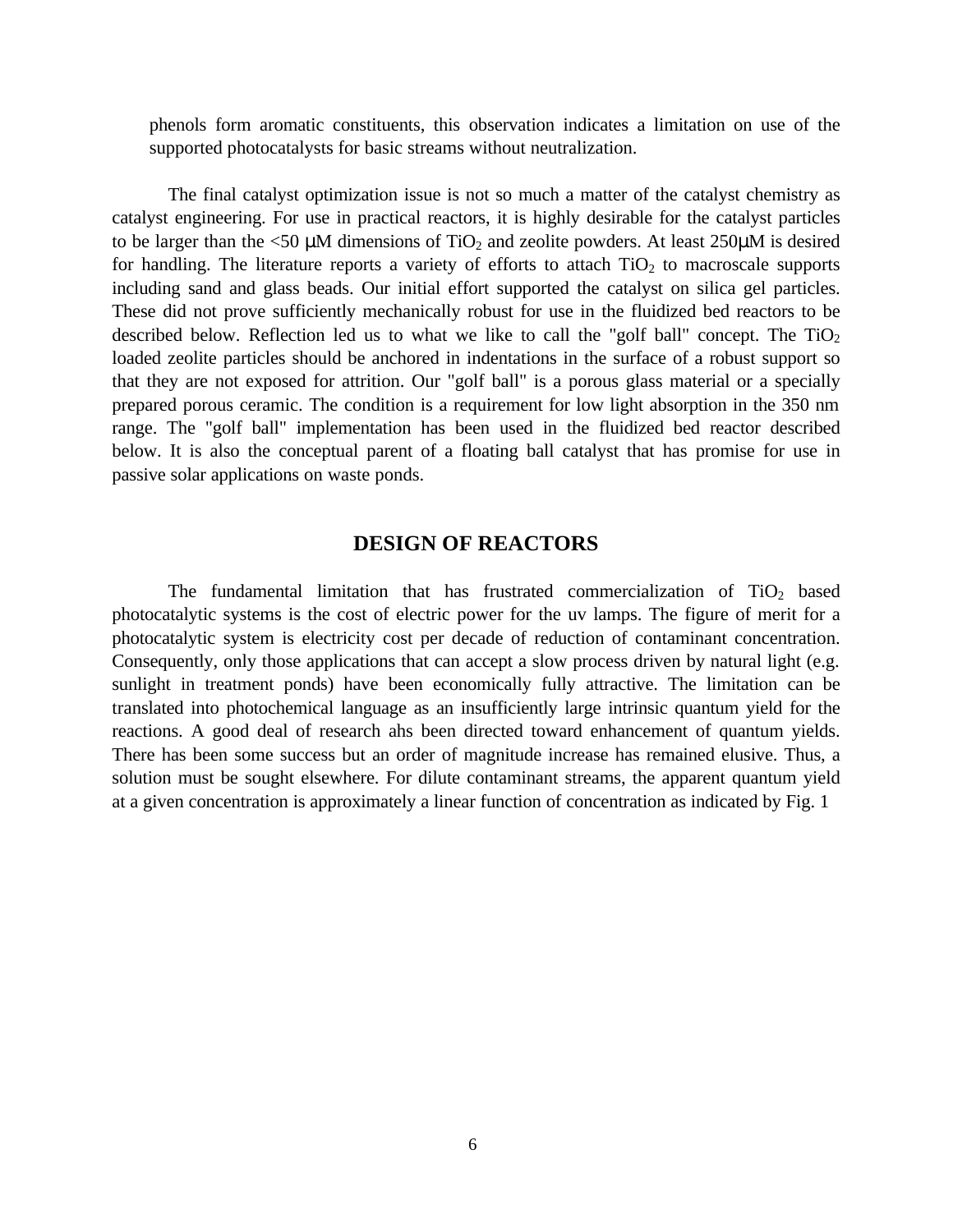phenols form aromatic constituents, this observation indicates a limitation on use of the supported photocatalysts for basic streams without neutralization.

The final catalyst optimization issue is not so much a matter of the catalyst chemistry as catalyst engineering. For use in practical reactors, it is highly desirable for the catalyst particles to be larger than the  $\leq 50$  µM dimensions of TiO<sub>2</sub> and zeolite powders. At least 250µM is desired for handling. The literature reports a variety of efforts to attach  $TiO<sub>2</sub>$  to macroscale supports including sand and glass beads. Our initial effort supported the catalyst on silica gel particles. These did not prove sufficiently mechanically robust for use in the fluidized bed reactors to be described below. Reflection led us to what we like to call the "golf ball" concept. The  $TiO<sub>2</sub>$ loaded zeolite particles should be anchored in indentations in the surface of a robust support so that they are not exposed for attrition. Our "golf ball" is a porous glass material or a specially prepared porous ceramic. The condition is a requirement for low light absorption in the 350 nm range. The "golf ball" implementation has been used in the fluidized bed reactor described below. It is also the conceptual parent of a floating ball catalyst that has promise for use in passive solar applications on waste ponds.

#### **DESIGN OF REACTORS**

The fundamental limitation that has frustrated commercialization of  $TiO<sub>2</sub>$  based photocatalytic systems is the cost of electric power for the uv lamps. The figure of merit for a photocatalytic system is electricity cost per decade of reduction of contaminant concentration. Consequently, only those applications that can accept a slow process driven by natural light (e.g. sunlight in treatment ponds) have been economically fully attractive. The limitation can be translated into photochemical language as an insufficiently large intrinsic quantum yield for the reactions. A good deal of research ahs been directed toward enhancement of quantum yields. There has been some success but an order of magnitude increase has remained elusive. Thus, a solution must be sought elsewhere. For dilute contaminant streams, the apparent quantum yield at a given concentration is approximately a linear function of concentration as indicated by Fig. 1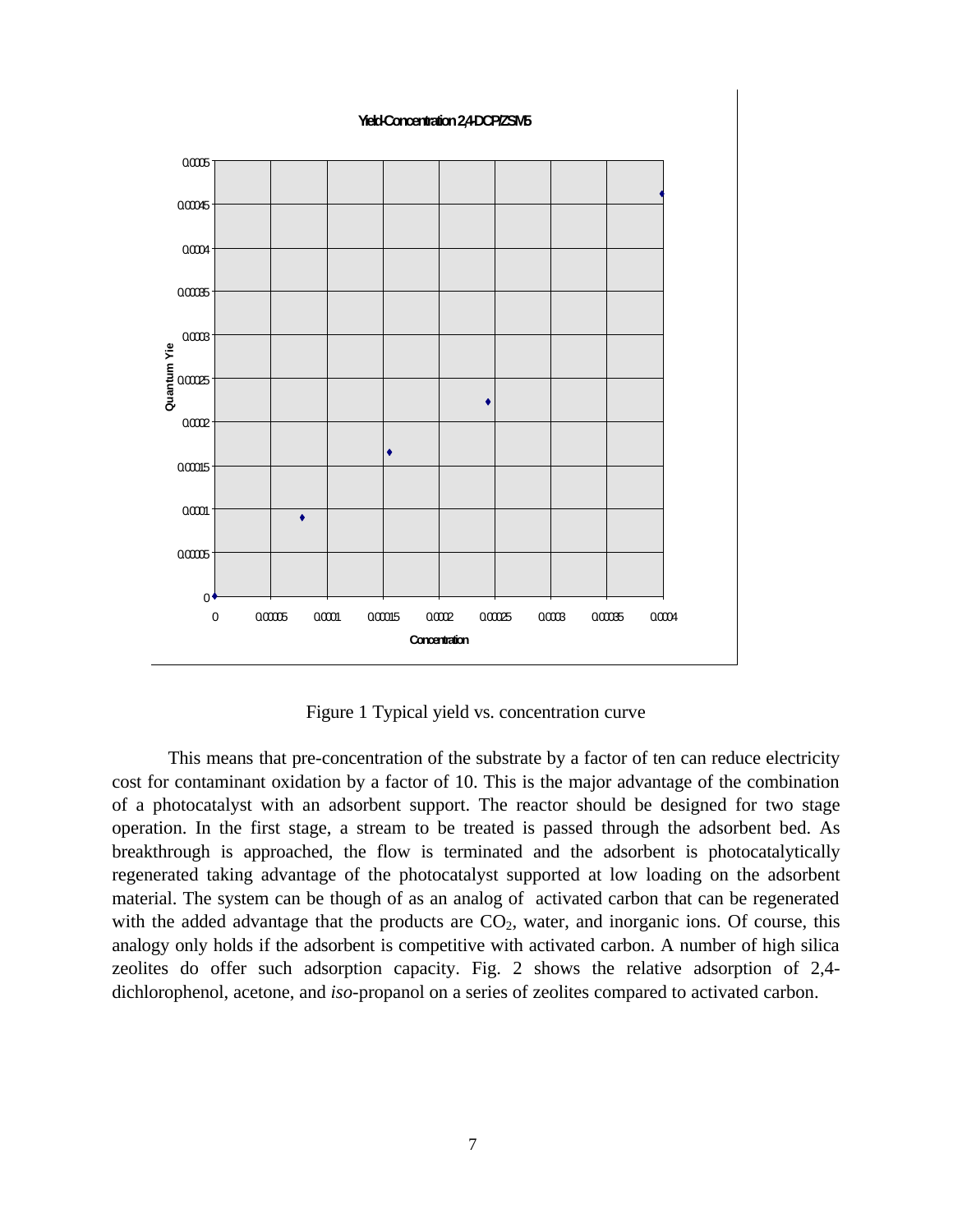

Figure 1 Typical yield vs. concentration curve

This means that pre-concentration of the substrate by a factor of ten can reduce electricity cost for contaminant oxidation by a factor of 10. This is the major advantage of the combination of a photocatalyst with an adsorbent support. The reactor should be designed for two stage operation. In the first stage, a stream to be treated is passed through the adsorbent bed. As breakthrough is approached, the flow is terminated and the adsorbent is photocatalytically regenerated taking advantage of the photocatalyst supported at low loading on the adsorbent material. The system can be though of as an analog of activated carbon that can be regenerated with the added advantage that the products are  $CO<sub>2</sub>$ , water, and inorganic ions. Of course, this analogy only holds if the adsorbent is competitive with activated carbon. A number of high silica zeolites do offer such adsorption capacity. Fig. 2 shows the relative adsorption of 2,4 dichlorophenol, acetone, and *iso*-propanol on a series of zeolites compared to activated carbon.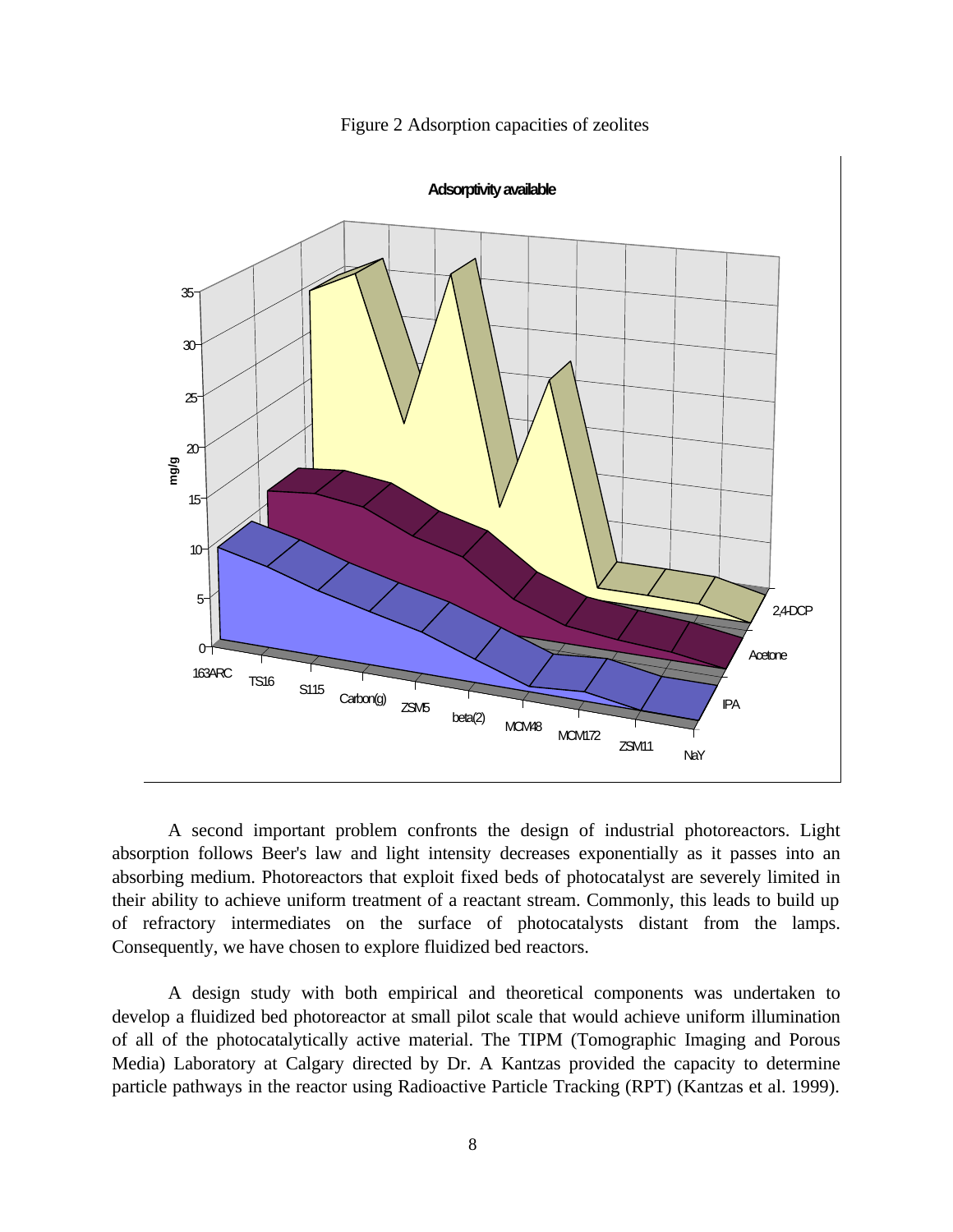

Figure 2 Adsorption capacities of zeolites

A second important problem confronts the design of industrial photoreactors. Light absorption follows Beer's law and light intensity decreases exponentially as it passes into an absorbing medium. Photoreactors that exploit fixed beds of photocatalyst are severely limited in their ability to achieve uniform treatment of a reactant stream. Commonly, this leads to build up of refractory intermediates on the surface of photocatalysts distant from the lamps. Consequently, we have chosen to explore fluidized bed reactors.

A design study with both empirical and theoretical components was undertaken to develop a fluidized bed photoreactor at small pilot scale that would achieve uniform illumination of all of the photocatalytically active material. The TIPM (Tomographic Imaging and Porous Media) Laboratory at Calgary directed by Dr. A Kantzas provided the capacity to determine particle pathways in the reactor using Radioactive Particle Tracking (RPT) (Kantzas et al. 1999).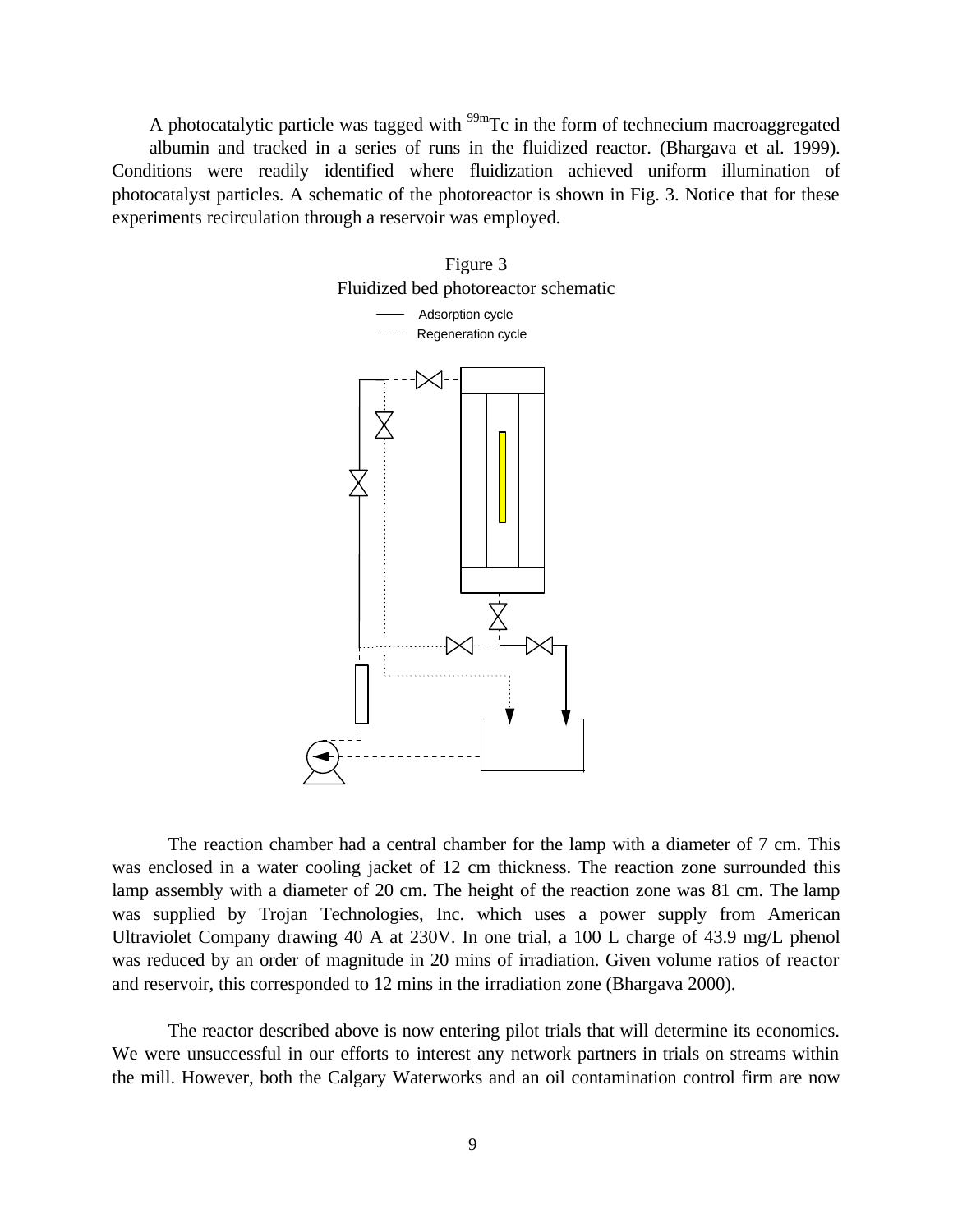A photocatalytic particle was tagged with  $\frac{99 \text{m}}{2}$ Tc in the form of technecium macroaggregated albumin and tracked in a series of runs in the fluidized reactor. (Bhargava et al. 1999). Conditions were readily identified where fluidization achieved uniform illumination of photocatalyst particles. A schematic of the photoreactor is shown in Fig. 3. Notice that for these experiments recirculation through a reservoir was employed.



The reaction chamber had a central chamber for the lamp with a diameter of 7 cm. This was enclosed in a water cooling jacket of 12 cm thickness. The reaction zone surrounded this lamp assembly with a diameter of 20 cm. The height of the reaction zone was 81 cm. The lamp was supplied by Trojan Technologies, Inc. which uses a power supply from American Ultraviolet Company drawing 40 A at 230V. In one trial, a 100 L charge of 43.9 mg/L phenol was reduced by an order of magnitude in 20 mins of irradiation. Given volume ratios of reactor and reservoir, this corresponded to 12 mins in the irradiation zone (Bhargava 2000).

The reactor described above is now entering pilot trials that will determine its economics. We were unsuccessful in our efforts to interest any network partners in trials on streams within the mill. However, both the Calgary Waterworks and an oil contamination control firm are now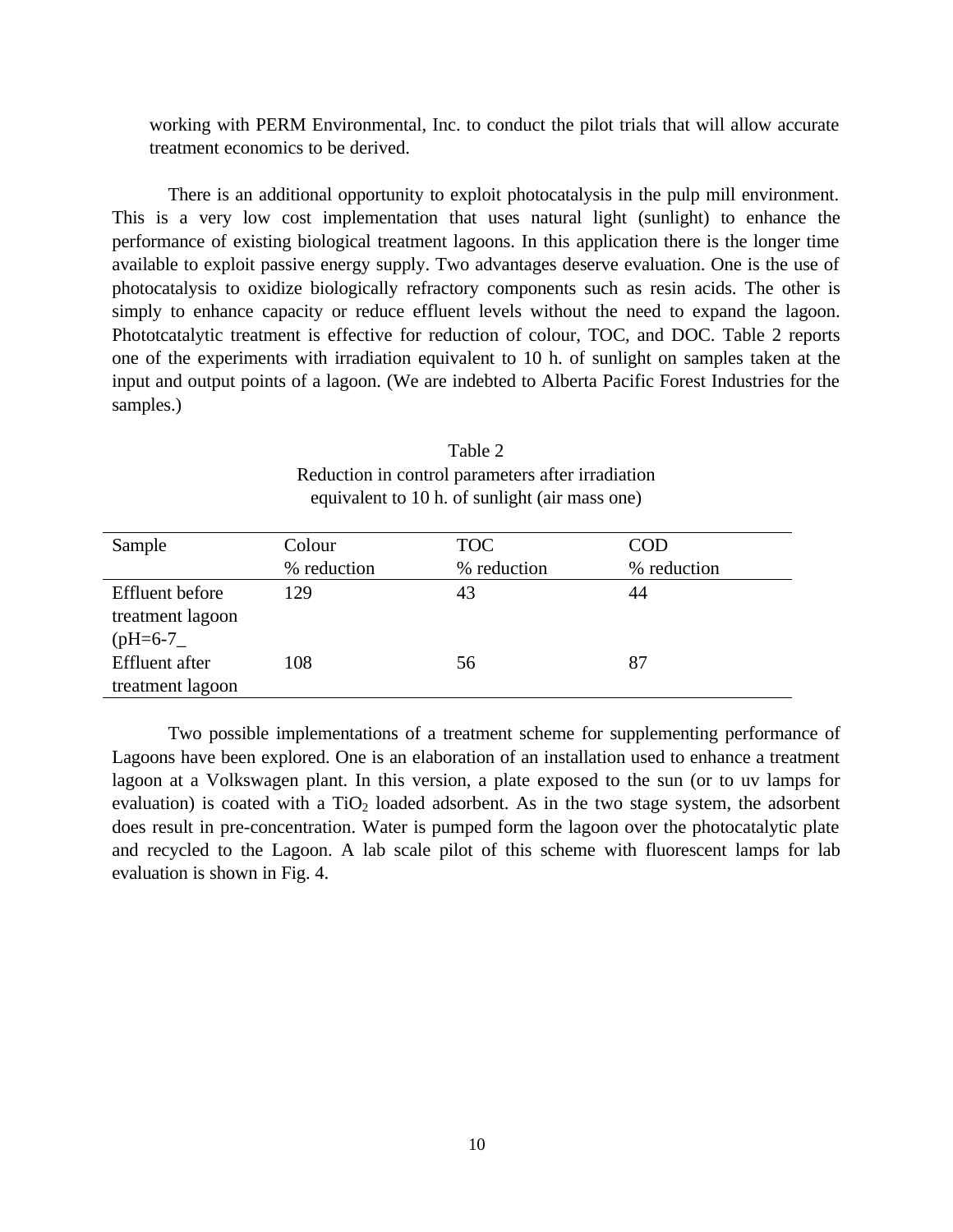working with PERM Environmental, Inc. to conduct the pilot trials that will allow accurate treatment economics to be derived.

There is an additional opportunity to exploit photocatalysis in the pulp mill environment. This is a very low cost implementation that uses natural light (sunlight) to enhance the performance of existing biological treatment lagoons. In this application there is the longer time available to exploit passive energy supply. Two advantages deserve evaluation. One is the use of photocatalysis to oxidize biologically refractory components such as resin acids. The other is simply to enhance capacity or reduce effluent levels without the need to expand the lagoon. Phototcatalytic treatment is effective for reduction of colour, TOC, and DOC. Table 2 reports one of the experiments with irradiation equivalent to 10 h. of sunlight on samples taken at the input and output points of a lagoon. (We are indebted to Alberta Pacific Forest Industries for the samples.)

| Sample                | Colour      | <b>TOC</b>  | <b>COD</b>  |
|-----------------------|-------------|-------------|-------------|
|                       | % reduction | % reduction | % reduction |
| Effluent before       | 129         | 43          | 44          |
| treatment lagoon      |             |             |             |
| $(pH=6-7)$            |             |             |             |
| <b>Effluent</b> after | 108         | 56          | 87          |
| treatment lagoon      |             |             |             |

Table 2 Reduction in control parameters after irradiation equivalent to 10 h. of sunlight (air mass one)

Two possible implementations of a treatment scheme for supplementing performance of Lagoons have been explored. One is an elaboration of an installation used to enhance a treatment lagoon at a Volkswagen plant. In this version, a plate exposed to the sun (or to uv lamps for evaluation) is coated with a  $TiO<sub>2</sub>$  loaded adsorbent. As in the two stage system, the adsorbent does result in pre-concentration. Water is pumped form the lagoon over the photocatalytic plate and recycled to the Lagoon. A lab scale pilot of this scheme with fluorescent lamps for lab evaluation is shown in Fig. 4.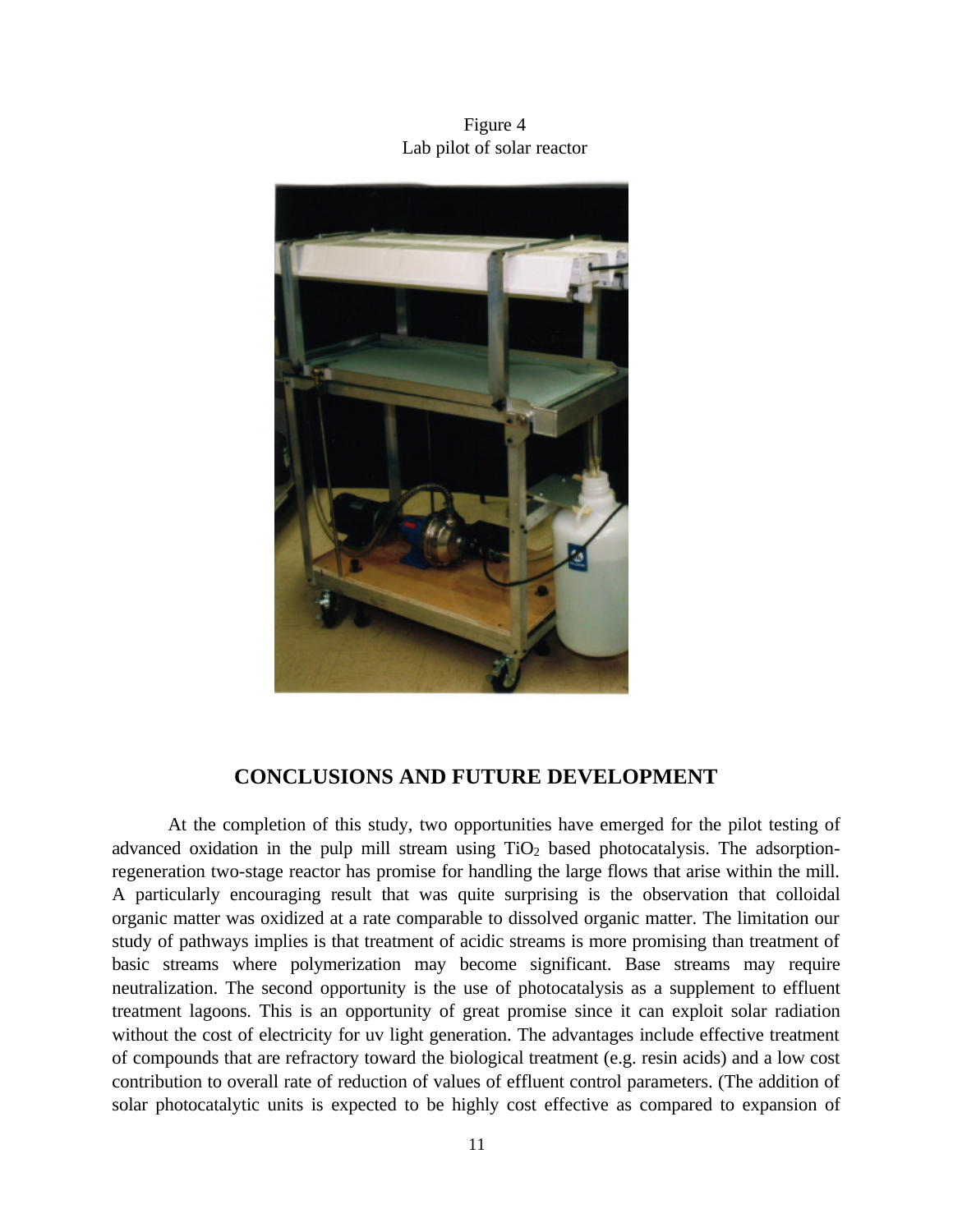Figure 4 Lab pilot of solar reactor



## **CONCLUSIONS AND FUTURE DEVELOPMENT**

At the completion of this study, two opportunities have emerged for the pilot testing of advanced oxidation in the pulp mill stream using  $TiO<sub>2</sub>$  based photocatalysis. The adsorptionregeneration two-stage reactor has promise for handling the large flows that arise within the mill. A particularly encouraging result that was quite surprising is the observation that colloidal organic matter was oxidized at a rate comparable to dissolved organic matter. The limitation our study of pathways implies is that treatment of acidic streams is more promising than treatment of basic streams where polymerization may become significant. Base streams may require neutralization. The second opportunity is the use of photocatalysis as a supplement to effluent treatment lagoons. This is an opportunity of great promise since it can exploit solar radiation without the cost of electricity for uv light generation. The advantages include effective treatment of compounds that are refractory toward the biological treatment (e.g. resin acids) and a low cost contribution to overall rate of reduction of values of effluent control parameters. (The addition of solar photocatalytic units is expected to be highly cost effective as compared to expansion of